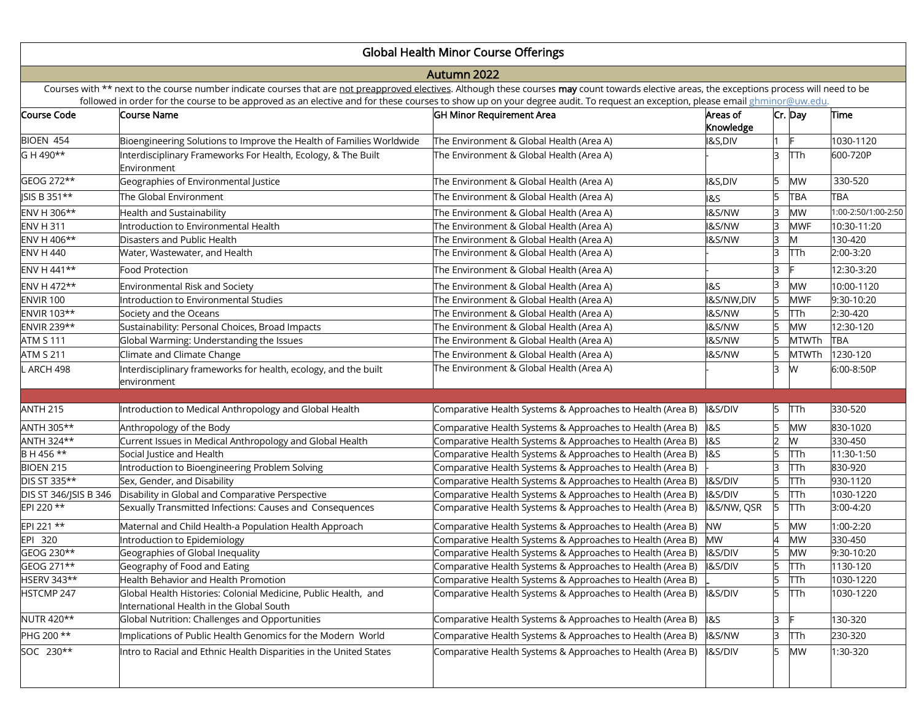## Global Health Minor Course Offerings

## Autumn 2022

Courses with \*\* next to the course number indicate courses that are not preapproved electives. Although these courses may count towards elective areas, the exceptions process will need to be followed in order for the course to be approved as an elective and for these courses to show up on your degree audit. To request an exception, please email <u>ghminor@uw.edu</u>.

| Course Code           | Course Name                                                                                                | <b>GH Minor Requirement Area</b>                           | Areas of           |   | Cr. Day    | Time                |
|-----------------------|------------------------------------------------------------------------------------------------------------|------------------------------------------------------------|--------------------|---|------------|---------------------|
|                       |                                                                                                            |                                                            | Knowledge          |   |            |                     |
| BIOEN 454             | Bioengineering Solutions to Improve the Health of Families Worldwide                                       | The Environment & Global Health (Area A)                   | <b>I&amp;S,DIV</b> |   |            | 1030-1120           |
| G H 490**             | Interdisciplinary Frameworks For Health, Ecology, & The Built<br>Environment                               | The Environment & Global Health (Area A)                   |                    | R | <b>TTh</b> | 600-720P            |
| GEOG 272**            | Geographies of Environmental Justice                                                                       | The Environment & Global Health (Area A)                   | <b>I&amp;S,DIV</b> |   | <b>MW</b>  | 330-520             |
| ISIS B 351**          | The Global Environment                                                                                     | The Environment & Global Health (Area A)                   | <b>1&amp;S</b>     |   | <b>TBA</b> | <b>TBA</b>          |
| ENV H 306**           | <b>Health and Sustainability</b>                                                                           | The Environment & Global Health (Area A)                   | <b>I&amp;S/NW</b>  |   | MW         | 1:00-2:50/1:00-2:50 |
| <b>ENV H 311</b>      | Introduction to Environmental Health                                                                       | The Environment & Global Health (Area A)                   | <b>I&amp;S/NW</b>  |   | <b>MWF</b> | 10:30-11:20         |
| ENV H 406**           | Disasters and Public Health                                                                                | The Environment & Global Health (Area A)                   | <b>I&amp;S/NW</b>  |   | M          | 130-420             |
| <b>ENV H 440</b>      | Water, Wastewater, and Health                                                                              | The Environment & Global Health (Area A)                   |                    |   | <b>TTh</b> | 2:00-3:20           |
| ENV H 441**           | Food Protection                                                                                            | The Environment & Global Health (Area A)                   |                    | 3 | c          | 12:30-3:20          |
| ENV H 472**           | Environmental Risk and Society                                                                             | The Environment & Global Health (Area A)                   | <b>1&amp;S</b>     |   | <b>MW</b>  | 10:00-1120          |
| <b>ENVIR 100</b>      | Introduction to Environmental Studies                                                                      | The Environment & Global Health (Area A)                   | I&S/NW,DIV         |   | <b>MWF</b> | 9:30-10:20          |
| ENVIR 103**           | Society and the Oceans                                                                                     | The Environment & Global Health (Area A)                   | <b>I&amp;S/NW</b>  |   | <b>TTh</b> | 2:30-420            |
| ENVIR 239**           | Sustainability: Personal Choices, Broad Impacts                                                            | The Environment & Global Health (Area A)                   | <b>I&amp;S/NW</b>  |   | <b>MW</b>  | 12:30-120           |
| <b>ATM S 111</b>      | Global Warming: Understanding the Issues                                                                   | The Environment & Global Health (Area A)                   | I&S/NW             |   | MTWTh      | <b>TBA</b>          |
| <b>ATM S 211</b>      | Climate and Climate Change                                                                                 | The Environment & Global Health (Area A)                   | <b>I&amp;S/NW</b>  |   | MTWTh      | 1230-120            |
| ARCH 498              | Interdisciplinary frameworks for health, ecology, and the built                                            | The Environment & Global Health (Area A)                   |                    | 3 | W          | 6:00-8:50P          |
|                       | environment                                                                                                |                                                            |                    |   |            |                     |
|                       |                                                                                                            |                                                            |                    |   |            |                     |
| <b>ANTH 215</b>       | Introduction to Medical Anthropology and Global Health                                                     | Comparative Health Systems & Approaches to Health (Area B) | <b>I&amp;S/DIV</b> | 5 | <b>TTh</b> | 330-520             |
| ANTH 305**            | Anthropology of the Body                                                                                   | Comparative Health Systems & Approaches to Health (Area B) | <b>1&amp;S</b>     |   | <b>MW</b>  | 830-1020            |
| ANTH 324**            | Current Issues in Medical Anthropology and Global Health                                                   | Comparative Health Systems & Approaches to Health (Area B) | <b>1&amp;S</b>     |   | W          | 330-450             |
| BH 456 **             | Social Justice and Health                                                                                  | Comparative Health Systems & Approaches to Health (Area B) | $\overline{185}$   |   | TTh        | 11:30-1:50          |
| <b>BIOEN 215</b>      | Introduction to Bioengineering Problem Solving                                                             | Comparative Health Systems & Approaches to Health (Area B) |                    |   | TTh        | 830-920             |
| DIS ST 335**          | Sex, Gender, and Disability                                                                                | Comparative Health Systems & Approaches to Health (Area B) | <b>I&amp;S/DIV</b> |   | TTh        | 930-1120            |
| DIS ST 346/JSIS B 346 | Disability in Global and Comparative Perspective                                                           | Comparative Health Systems & Approaches to Health (Area B) | <b>I&amp;S/DIV</b> |   | TTh        | 1030-1220           |
| EPI 220 **            | Sexually Transmitted Infections: Causes and Consequences                                                   | Comparative Health Systems & Approaches to Health (Area B) | I&S/NW, QSR        |   | <b>TTh</b> | 3:00-4:20           |
| EPI 221 **            | Maternal and Child Health-a Population Health Approach                                                     | Comparative Health Systems & Approaches to Health (Area B) | <b>NW</b>          |   | <b>MW</b>  | 1:00-2:20           |
| EPI 320               | Introduction to Epidemiology                                                                               | Comparative Health Systems & Approaches to Health (Area B) | <b>MW</b>          |   | <b>MW</b>  | 330-450             |
| GEOG 230**            | Geographies of Global Inequality                                                                           | Comparative Health Systems & Approaches to Health (Area B) | <b>I&amp;S/DIV</b> |   | <b>MW</b>  | 9:30-10:20          |
| GEOG 271**            | Geography of Food and Eating                                                                               | Comparative Health Systems & Approaches to Health (Area B) | <b>I&amp;S/DIV</b> |   | TTh        | 1130-120            |
| HSERV 343**           | Health Behavior and Health Promotion                                                                       | Comparative Health Systems & Approaches to Health (Area B) |                    |   | <b>TTh</b> | 1030-1220           |
| HSTCMP 247            | Global Health Histories: Colonial Medicine, Public Health, and<br>International Health in the Global South | Comparative Health Systems & Approaches to Health (Area B) | <b>I&amp;S/DIV</b> |   | <b>TTh</b> | 1030-1220           |
| NUTR 420**            | Global Nutrition: Challenges and Opportunities                                                             | Comparative Health Systems & Approaches to Health (Area B) | <b>1&amp;S</b>     | 3 |            | 130-320             |
| PHG 200 **            | Implications of Public Health Genomics for the Modern World                                                | Comparative Health Systems & Approaches to Health (Area B) | I&S/NW             | R | <b>TTh</b> | 230-320             |
| SOC 230**             | Intro to Racial and Ethnic Health Disparities in the United States                                         | Comparative Health Systems & Approaches to Health (Area B) | I&S/DIV            | 5 | <b>MW</b>  | 1:30-320            |